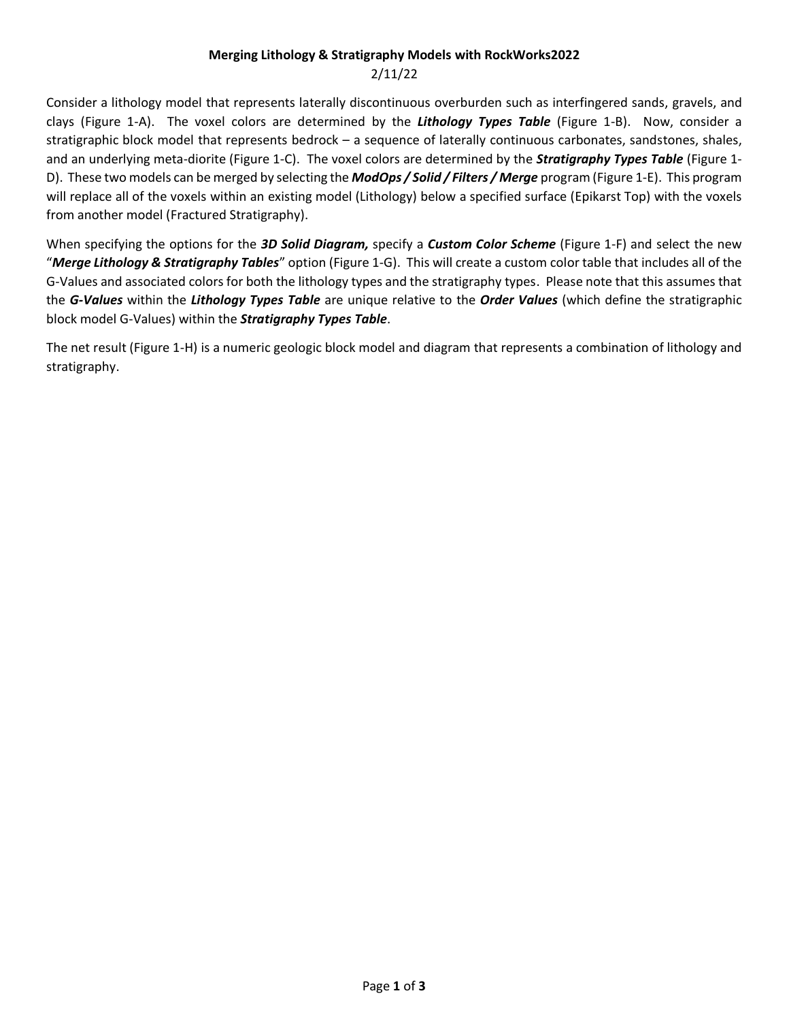## **Merging Lithology & Stratigraphy Models with RockWorks2022**

## 2/11/22

Consider a lithology model that represents laterally discontinuous overburden such as interfingered sands, gravels, and clays (Figure 1-A). The voxel colors are determined by the *Lithology Types Table* (Figure 1-B). Now, consider a stratigraphic block model that represents bedrock – a sequence of laterally continuous carbonates, sandstones, shales, and an underlying meta-diorite (Figure 1-C). The voxel colors are determined by the *Stratigraphy Types Table* (Figure 1- D). These two models can be merged by selecting the *ModOps / Solid / Filters / Merge* program (Figure 1-E). This program will replace all of the voxels within an existing model (Lithology) below a specified surface (Epikarst Top) with the voxels from another model (Fractured Stratigraphy).

When specifying the options for the *3D Solid Diagram,* specify a *Custom Color Scheme* (Figure 1-F) and select the new "*Merge Lithology & Stratigraphy Tables*" option (Figure 1-G). This will create a custom color table that includes all of the G-Values and associated colors for both the lithology types and the stratigraphy types. Please note that this assumes that the *G-Values* within the *Lithology Types Table* are unique relative to the *Order Values* (which define the stratigraphic block model G-Values) within the *Stratigraphy Types Table*.

The net result (Figure 1-H) is a numeric geologic block model and diagram that represents a combination of lithology and stratigraphy.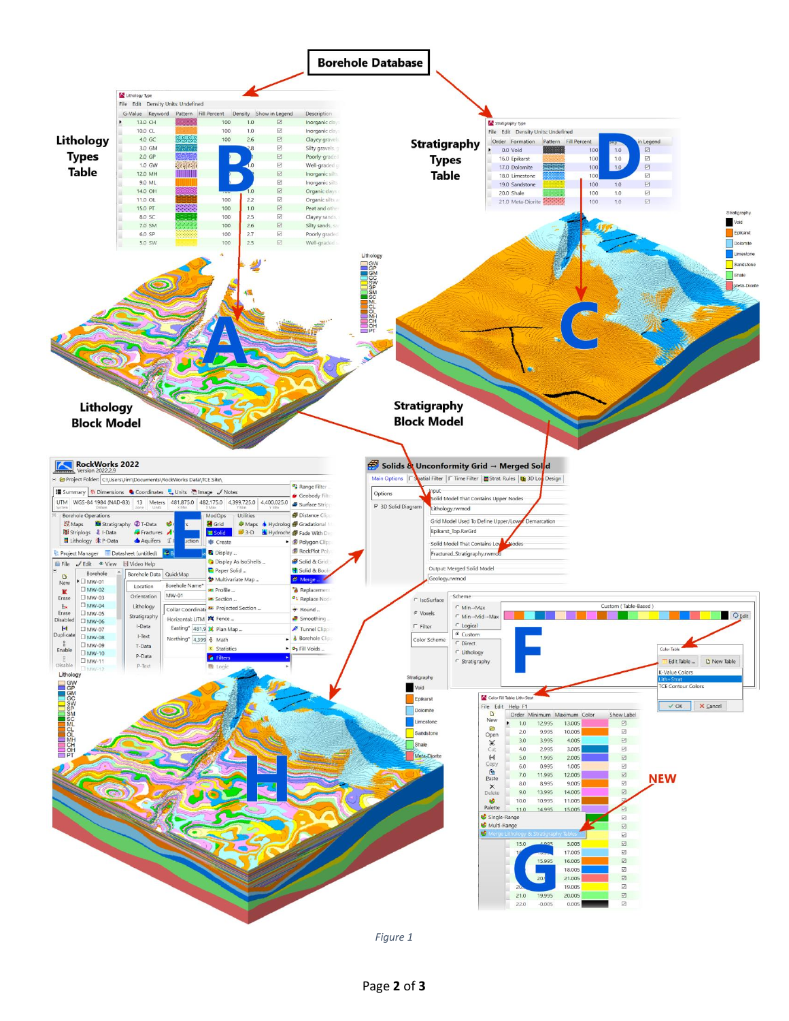

*Figure 1*